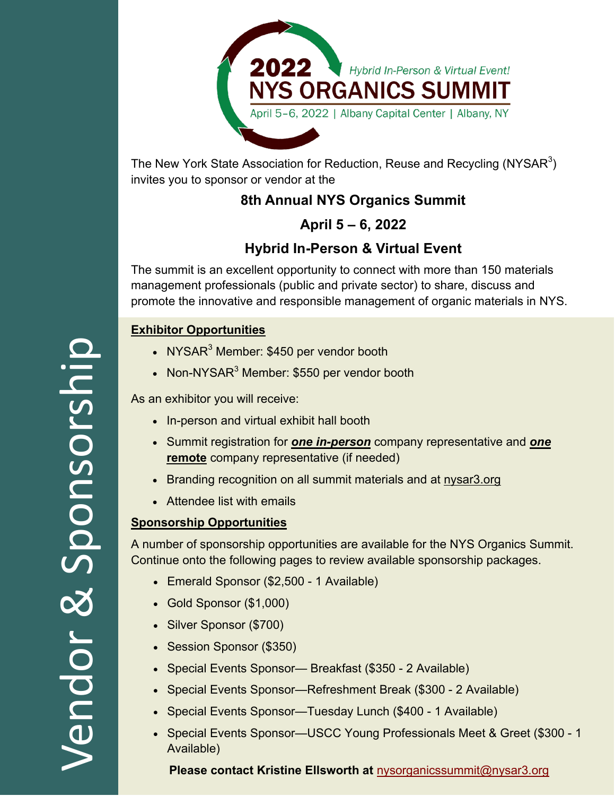

The New York State Association for Reduction, Reuse and Recycling (NYSAR $3$ ) invites you to sponsor or vendor at the

# **8th Annual NYS Organics Summit**

# **April 5 – 6, 2022**

# **Hybrid In-Person & Virtual Event**

The summit is an excellent opportunity to connect with more than 150 materials management professionals (public and private sector) to share, discuss and promote the innovative and responsible management of organic materials in NYS.

### **Exhibitor Opportunities**

- NYSAR<sup>3</sup> Member: \$450 per vendor booth
- Non-NYSA $R^3$  Member: \$550 per vendor booth

As an exhibitor you will receive:

- In-person and virtual exhibit hall booth
- Summit registration for *one in-person* company representative and *one* **remote** company representative (if needed)
- Branding recognition on all summit materials and at [nysar3.org](https://www.nysar3.org/page/nys-organics-summit-100.html)
- Attendee list with emails

#### **Sponsorship Opportunities**

A number of sponsorship opportunities are available for the NYS Organics Summit. Continue onto the following pages to review available sponsorship packages.

- Emerald Sponsor (\$2,500 1 Available)
- Gold Sponsor (\$1,000)
- Silver Sponsor (\$700)
- Session Sponsor (\$350)
- Special Events Sponsor— Breakfast (\$350 2 Available)
- Special Events Sponsor—Refreshment Break (\$300 2 Available)
- Special Events Sponsor—Tuesday Lunch (\$400 1 Available)
- Special Events Sponsor—USCC Young Professionals Meet & Greet (\$300 1 Available)

**Please contact Kristine Ellsworth at** [nysorganicssummit@nysar3.org](mailto:nysorganicssummit@nysar3.org)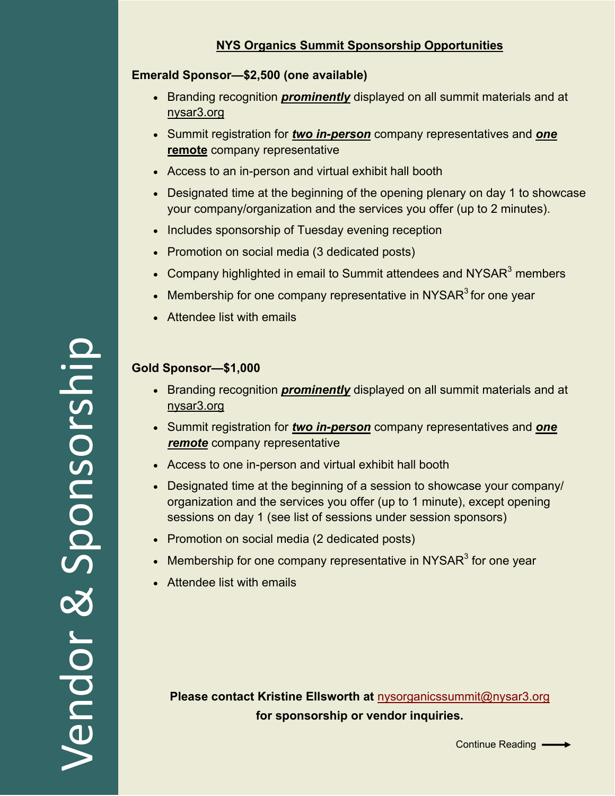## **NYS Organics Summit Sponsorship Opportunities**

#### **Emerald Sponsor—\$2,500 (one available)**

- Branding recognition *prominently* displayed on all summit materials and at [nysar3.org](https://www.nysar3.org/page/nys-organics-summit-100.html)
- Summit registration for *two in-person* company representatives and *one* **remote** company representative
- Access to an in-person and virtual exhibit hall booth
- Designated time at the beginning of the opening plenary on day 1 to showcase your company/organization and the services you offer (up to 2 minutes).
- Includes sponsorship of Tuesday evening reception
- Promotion on social media (3 dedicated posts)
- Company highlighted in email to Summit attendees and  $NYSAR<sup>3</sup>$  members
- Membership for one company representative in NYSAR $3$  for one year
- Attendee list with emails

### **Gold Sponsor—\$1,000**

- Branding recognition *prominently* displayed on all summit materials and at [nysar3.org](https://www.nysar3.org/page/nys-organics-summit-100.html)
- Summit registration for *two in-person* company representatives and *one remote* company representative
- Access to one in-person and virtual exhibit hall booth
- Designated time at the beginning of a session to showcase your company/ organization and the services you offer (up to 1 minute), except opening sessions on day 1 (see list of sessions under session sponsors)
- Promotion on social media (2 dedicated posts)
- Membership for one company representative in NYSAR $3$  for one year
- Attendee list with emails

## **Please contact Kristine Ellsworth at** [nysorganicssummit@nysar3.org](mailto:nysorganicssummit@nysar3.org) **for sponsorship or vendor inquiries.**

Continue Reading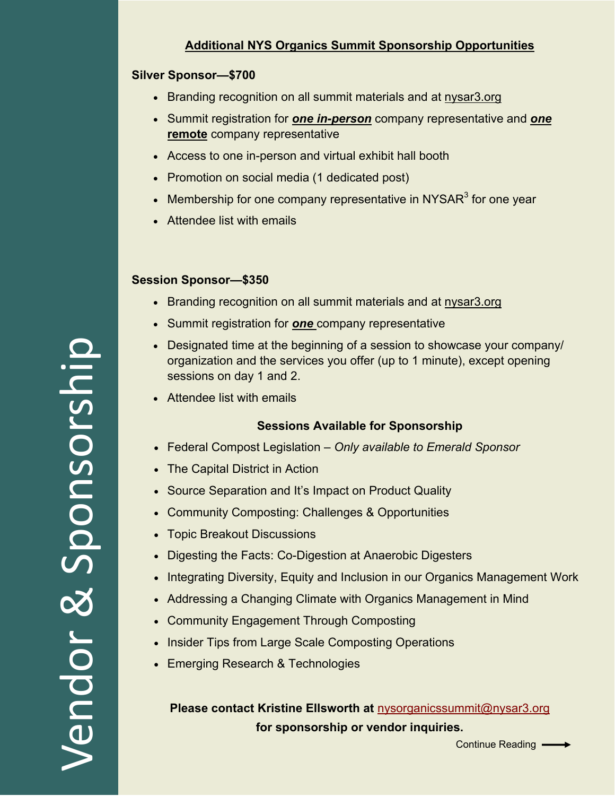## **Additional NYS Organics Summit Sponsorship Opportunities**

#### **Silver Sponsor—\$700**

- Branding recognition on all summit materials and at [nysar3.org](https://www.nysar3.org/page/nys-organics-summit-100.html)
- Summit registration for *one in-person* company representative and *one* **remote** company representative
- Access to one in-person and virtual exhibit hall booth
- Promotion on social media (1 dedicated post)
- $\bullet~$  Membership for one company representative in NYSAR $^3$  for one year
- Attendee list with emails

#### **Session Sponsor—\$350**

- Branding recognition on all summit materials and at [nysar3.org](https://www.nysar3.org/page/nys-organics-summit-100.html)
- Summit registration for *one* company representative
- Designated time at the beginning of a session to showcase your company/ organization and the services you offer (up to 1 minute), except opening sessions on day 1 and 2.
- Attendee list with emails

#### **Sessions Available for Sponsorship**

- Federal Compost Legislation *Only available to Emerald Sponsor*
- The Capital District in Action
- Source Separation and It's Impact on Product Quality
- Community Composting: Challenges & Opportunities
- Topic Breakout Discussions
- Digesting the Facts: Co-Digestion at Anaerobic Digesters
- Integrating Diversity, Equity and Inclusion in our Organics Management Work
- Addressing a Changing Climate with Organics Management in Mind
- Community Engagement Through Composting
- Insider Tips from Large Scale Composting Operations
- Emerging Research & Technologies

## **Please contact Kristine Ellsworth at** [nysorganicssummit@nysar3.org](mailto:nysorganicssummit@nysar3.org) **for sponsorship or vendor inquiries.**

Continue Reading